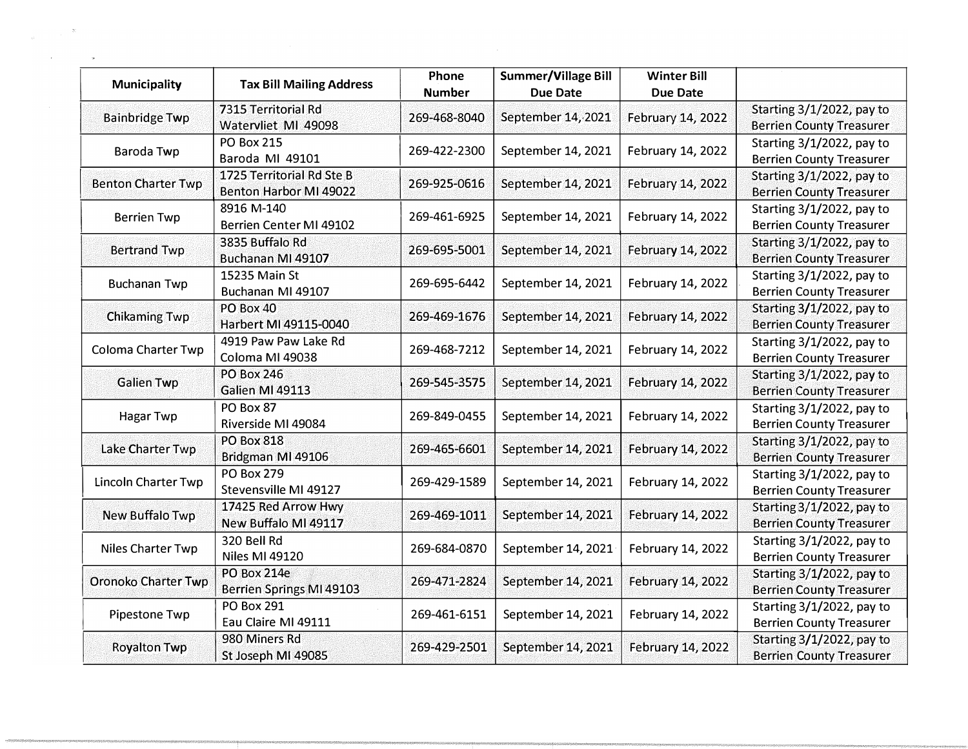| <b>Municipality</b>        | <b>Tax Bill Mailing Address</b>                       | Phone<br><b>Number</b> | Summer/Village Bill<br><b>Due Date</b> | <b>Winter Bill</b><br><b>Due Date</b> |                                                              |
|----------------------------|-------------------------------------------------------|------------------------|----------------------------------------|---------------------------------------|--------------------------------------------------------------|
| <b>Bainbridge Twp</b>      | 7315 Territorial Rd<br>Watervliet MI 49098            | 269-468-8040           | September 14, 2021                     | February 14, 2022                     | Starting 3/1/2022, pay to<br><b>Berrien County Treasurer</b> |
| Baroda Twp                 | <b>PO Box 215</b><br>Baroda MI 49101                  | 269-422-2300           | September 14, 2021                     | February 14, 2022                     | Starting 3/1/2022, pay to<br><b>Berrien County Treasurer</b> |
| <b>Benton Charter Twp</b>  | 1725 Territorial Rd Ste B<br>Benton Harbor MI 49022   | 269-925-0616           | September 14, 2021                     | February 14, 2022                     | Starting 3/1/2022, pay to<br><b>Berrien County Treasurer</b> |
| <b>Berrien Twp</b>         | 8916 M-140<br>Berrien Center MI 49102                 | 269-461-6925           | September 14, 2021                     | February 14, 2022                     | Starting 3/1/2022, pay to<br><b>Berrien County Treasurer</b> |
| <b>Bertrand Twp</b>        | 3835 Buffalo Rd<br>Buchanan MI 49107                  | 269-695-5001           | September 14, 2021                     | February 14, 2022                     | Starting 3/1/2022, pay to<br><b>Berrien County Treasurer</b> |
| <b>Buchanan Twp</b>        | 15235 Main St<br>Buchanan MI 49107                    | 269-695-6442           | September 14, 2021                     | February 14, 2022                     | Starting 3/1/2022, pay to<br><b>Berrien County Treasurer</b> |
| <b>Chikaming Twp</b>       | <b>PO Box 40</b><br>Harbert MI 49115-0040             | 269-469-1676           | September 14, 2021                     | February 14, 2022                     | Starting 3/1/2022, pay to<br><b>Berrien County Treasurer</b> |
| <b>Coloma Charter Twp</b>  | 4919 Paw Paw Lake Rd<br>Coloma MI 49038               | 269-468-7212           | September 14, 2021                     | February 14, 2022                     | Starting 3/1/2022, pay to<br><b>Berrien County Treasurer</b> |
| <b>Galien Twp</b>          | <b>PO Box 246</b><br>Galien MI 49113                  | 269-545-3575           | September 14, 2021                     | February 14, 2022                     | Starting 3/1/2022, pay to<br><b>Berrien County Treasurer</b> |
| Hagar Twp                  | PO Box 87<br>Riverside MI 49084                       | 269-849-0455           | September 14, 2021                     | February 14, 2022                     | Starting 3/1/2022, pay to<br><b>Berrien County Treasurer</b> |
| Lake Charter Twp           | <b>PO Box 818</b><br>Bridgman MI 49106                | 269-465-6601           | September 14, 2021                     | February 14, 2022                     | Starting 3/1/2022, pay to<br><b>Berrien County Treasurer</b> |
| Lincoln Charter Twp        | <b>PO Box 279</b><br>Stevensville MI 49127            | 269-429-1589           | September 14, 2021                     | February 14, 2022                     | Starting 3/1/2022, pay to<br><b>Berrien County Treasurer</b> |
| New Buffalo Twp            | 17425 Red Arrow Hwy<br>New Buffalo MI 49117           | 269-469-1011           | September 14, 2021                     | February 14, 2022                     | Starting 3/1/2022, pay to<br><b>Berrien County Treasurer</b> |
| Niles Charter Twp          | 320 Bell Rd<br>Niles MI 49120                         | 269-684-0870           | September 14, 2021                     | February 14, 2022                     | Starting 3/1/2022, pay to<br><b>Berrien County Treasurer</b> |
| <b>Oronoko Charter Twp</b> | <b>PO Box 214e</b><br><b>Berrien Springs MI 49103</b> | 269-471-2824           | September 14, 2021                     | February 14, 2022                     | Starting 3/1/2022, pay to<br><b>Berrien County Treasurer</b> |
| Pipestone Twp              | <b>PO Box 291</b><br>Eau Claire MI 49111              | 269-461-6151           | September 14, 2021                     | February 14, 2022                     | Starting 3/1/2022, pay to<br><b>Berrien County Treasurer</b> |
| <b>Royalton Twp</b>        | 980 Miners Rd<br>St Joseph MI 49085                   | 269-429-2501           | September 14, 2021                     | February 14, 2022                     | Starting 3/1/2022, pay to<br><b>Berrien County Treasurer</b> |

 $\label{eq:2.1} \frac{1}{\sqrt{2}}\left(\frac{1}{\sqrt{2}}\right)^{1/2}\left(\frac{1}{\sqrt{2}}\right)^{1/2}\left(\frac{1}{\sqrt{2}}\right)^{1/2}\left(\frac{1}{\sqrt{2}}\right)^{1/2}\left(\frac{1}{\sqrt{2}}\right)^{1/2}\left(\frac{1}{\sqrt{2}}\right)^{1/2}\left(\frac{1}{\sqrt{2}}\right)^{1/2}\left(\frac{1}{\sqrt{2}}\right)^{1/2}\left(\frac{1}{\sqrt{2}}\right)^{1/2}\left(\frac{1}{\sqrt{2}}\right)^{1/2}\left(\frac{1}{\sqrt{2$ 

 $\label{eq:3.1} \mathcal{M} = \mathcal{M} \times \mathcal{M} = \mathcal{M} \times \mathcal{M}$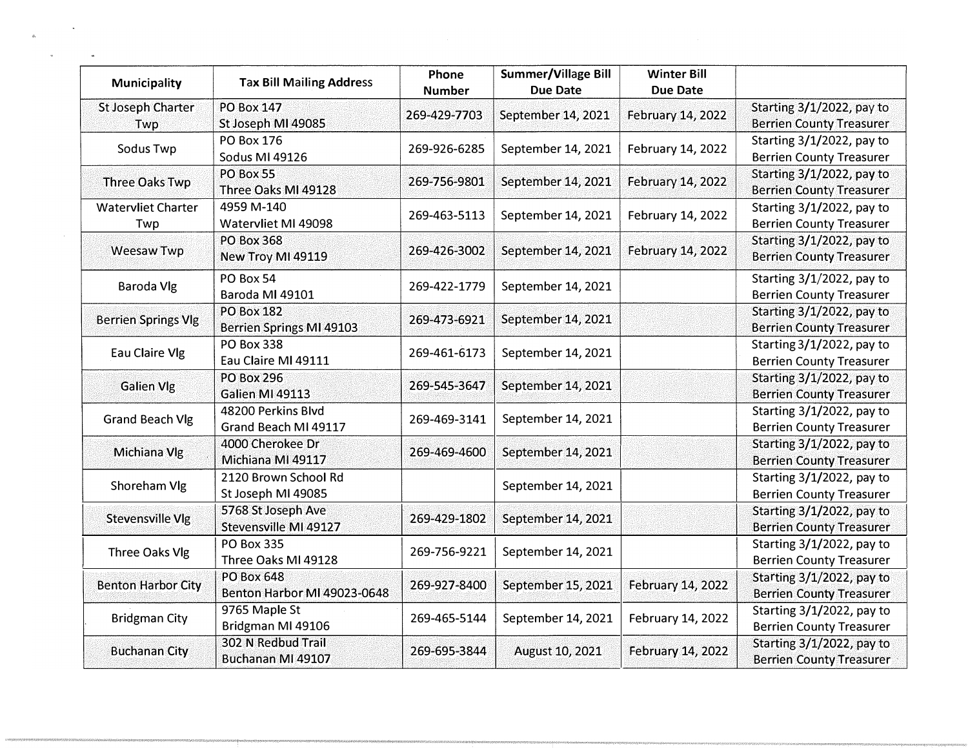| Municipality                     | <b>Tax Bill Mailing Address</b>                      | Phone<br><b>Number</b> | <b>Summer/Village Bill</b><br><b>Due Date</b> | <b>Winter Bill</b><br><b>Due Date</b> |                                                              |
|----------------------------------|------------------------------------------------------|------------------------|-----------------------------------------------|---------------------------------------|--------------------------------------------------------------|
| <b>St Joseph Charter</b><br>Twp  | <b>PO Box 147</b><br>St Joseph MI 49085              | 269-429-7703           | September 14, 2021                            | February 14, 2022                     | Starting 3/1/2022, pay to<br><b>Berrien County Treasurer</b> |
| Sodus Twp                        | <b>PO Box 176</b><br>Sodus MI 49126                  | 269-926-6285           | September 14, 2021                            | February 14, 2022                     | Starting 3/1/2022, pay to<br><b>Berrien County Treasurer</b> |
| <b>Three Oaks Twp</b>            | PO Box 55<br>Three Oaks MI 49128                     | 269-756-9801           | September 14, 2021                            | February 14, 2022                     | Starting 3/1/2022, pay to<br><b>Berrien County Treasurer</b> |
| <b>Watervliet Charter</b><br>Twp | 4959 M-140<br>Watervliet MI 49098                    | 269-463-5113           | September 14, 2021                            | February 14, 2022                     | Starting 3/1/2022, pay to<br><b>Berrien County Treasurer</b> |
| <b>Weesaw Twp</b>                | <b>PO Box 368</b><br>New Troy MI 49119               | 269-426-3002           | September 14, 2021                            | February 14, 2022                     | Starting 3/1/2022, pay to<br><b>Berrien County Treasurer</b> |
| <b>Baroda Vlg</b>                | PO Box 54<br>Baroda MI 49101                         | 269-422-1779           | September 14, 2021                            |                                       | Starting 3/1/2022, pay to<br><b>Berrien County Treasurer</b> |
| <b>Berrien Springs Vlg</b>       | <b>PO Box 182</b><br><b>Berrien Springs MI 49103</b> | 269-473-6921           | September 14, 2021                            |                                       | Starting 3/1/2022, pay to<br><b>Berrien County Treasurer</b> |
| Eau Claire Vlg                   | <b>PO Box 338</b><br>Eau Claire MI 49111             | 269-461-6173           | September 14, 2021                            |                                       | Starting 3/1/2022, pay to<br><b>Berrien County Treasurer</b> |
| <b>Galien Vlg</b>                | <b>PO Box 296</b><br>Galien MI 49113                 | 269-545-3647           | September 14, 2021                            |                                       | Starting 3/1/2022, pay to<br><b>Berrien County Treasurer</b> |
| <b>Grand Beach Vlg</b>           | 48200 Perkins Blvd<br>Grand Beach MI 49117           | 269-469-3141           | September 14, 2021                            |                                       | Starting 3/1/2022, pay to<br><b>Berrien County Treasurer</b> |
| Michiana Vlg                     | 4000 Cherokee Dr<br>Michiana MI 49117                | 269-469-4600           | September 14, 2021                            |                                       | Starting 3/1/2022, pay to<br><b>Berrien County Treasurer</b> |
| Shoreham Vlg                     | 2120 Brown School Rd<br>St Joseph MI 49085           |                        | September 14, 2021                            |                                       | Starting 3/1/2022, pay to<br><b>Berrien County Treasurer</b> |
| Stevensville Vlg                 | 5768 St Joseph Ave<br>Stevensville MI 49127          | 269-429-1802           | September 14, 2021                            |                                       | Starting 3/1/2022, pay to<br><b>Berrien County Treasurer</b> |
| Three Oaks Vlg                   | PO Box 335<br>Three Oaks MI 49128                    | 269-756-9221           | September 14, 2021                            |                                       | Starting 3/1/2022, pay to<br><b>Berrien County Treasurer</b> |
| <b>Benton Harbor City</b>        | <b>PO Box 648</b><br>Benton Harbor MI 49023-0648     | 269-927-8400           | September 15, 2021                            | February 14, 2022                     | Starting 3/1/2022, pay to<br><b>Berrien County Treasurer</b> |
| <b>Bridgman City</b>             | 9765 Maple St<br>Bridgman MI 49106                   | 269-465-5144           | September 14, 2021                            | February 14, 2022                     | Starting 3/1/2022, pay to<br><b>Berrien County Treasurer</b> |
| <b>Buchanan City</b>             | 302 N Redbud Trail<br>Buchanan MI 49107              | 269-695-3844           | August 10, 2021                               | February 14, 2022                     | Starting 3/1/2022, pay to<br><b>Berrien County Treasurer</b> |

 $\mathcal{L}^{\text{max}}_{\text{max}}$  , where  $\mathcal{L}^{\text{max}}_{\text{max}}$ 

 $\omega$ 

 $\hat{a}$ 

 $\alpha$